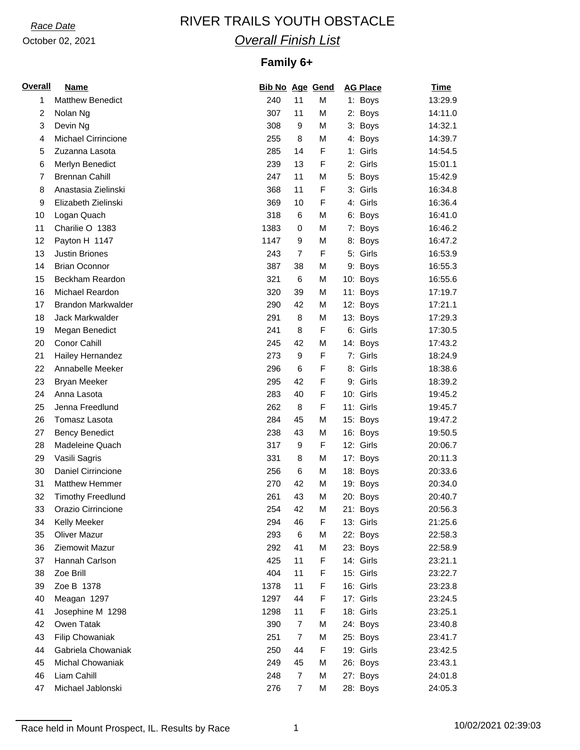# *Race Date* RIVER TRAILS YOUTH OBSTACLE *Overall Finish List*

## **Family 6+**

| <b>Overall</b> | <b>Name</b>                | <b>Bib No Age Gend</b> |                |   | <b>AG Place</b> | <b>Time</b> |
|----------------|----------------------------|------------------------|----------------|---|-----------------|-------------|
| 1              | <b>Matthew Benedict</b>    | 240                    | 11             | M | 1: Boys         | 13:29.9     |
| 2              | Nolan Ng                   | 307                    | 11             | М | 2: Boys         | 14:11.0     |
| 3              | Devin Ng                   | 308                    | 9              | M | 3: Boys         | 14:32.1     |
| 4              | <b>Michael Cirrincione</b> | 255                    | 8              | M | 4: Boys         | 14:39.7     |
| 5              | Zuzanna Lasota             | 285                    | 14             | F | 1: Girls        | 14:54.5     |
| 6              | Merlyn Benedict            | 239                    | 13             | F | 2: Girls        | 15:01.1     |
| $\overline{7}$ | <b>Brennan Cahill</b>      | 247                    | 11             | M | 5: Boys         | 15:42.9     |
| 8              | Anastasia Zielinski        | 368                    | 11             | F | 3: Girls        | 16:34.8     |
| 9              | Elizabeth Zielinski        | 369                    | 10             | F | 4: Girls        | 16:36.4     |
| 10             | Logan Quach                | 318                    | 6              | М | 6: Boys         | 16:41.0     |
| 11             | Charilie O 1383            | 1383                   | 0              | M | 7: Boys         | 16:46.2     |
| 12             | Payton H 1147              | 1147                   | 9              | M | 8: Boys         | 16:47.2     |
| 13             | <b>Justin Briones</b>      | 243                    | $\overline{7}$ | F | 5: Girls        | 16:53.9     |
| 14             | <b>Brian Oconnor</b>       | 387                    | 38             | М | 9: Boys         | 16:55.3     |
| 15             | Beckham Reardon            | 321                    | 6              | М | 10: Boys        | 16:55.6     |
| 16             | Michael Reardon            | 320                    | 39             | М | 11: Boys        | 17:19.7     |
| 17             | <b>Brandon Markwalder</b>  | 290                    | 42             | M | 12: Boys        | 17:21.1     |
| 18             | Jack Markwalder            | 291                    | 8              | М | 13: Boys        | 17:29.3     |
| 19             | Megan Benedict             | 241                    | 8              | F | 6: Girls        | 17:30.5     |
| 20             | <b>Conor Cahill</b>        | 245                    | 42             | M | 14: Boys        | 17:43.2     |
| 21             | Hailey Hernandez           | 273                    | 9              | F | 7: Girls        | 18:24.9     |
| 22             | Annabelle Meeker           | 296                    | 6              | F | 8: Girls        | 18:38.6     |
| 23             | <b>Bryan Meeker</b>        | 295                    | 42             | F | 9: Girls        | 18:39.2     |
| 24             | Anna Lasota                | 283                    | 40             | F | 10: Girls       | 19:45.2     |
| 25             | Jenna Freedlund            | 262                    | 8              | F | 11: Girls       | 19:45.7     |
| 26             | Tomasz Lasota              | 284                    | 45             | М | 15: Boys        | 19:47.2     |
| 27             | <b>Bency Benedict</b>      | 238                    | 43             | М | 16: Boys        | 19:50.5     |
| 28             | Madeleine Quach            | 317                    | 9              | F | 12: Girls       | 20:06.7     |
| 29             | Vasili Sagris              | 331                    | 8              | М | 17: Boys        | 20:11.3     |
| 30             | Daniel Cirrincione         | 256                    | 6              | М | 18: Boys        | 20:33.6     |
| 31             | Matthew Hemmer             | 270                    | 42             | M | 19: Boys        | 20:34.0     |
| 32             | <b>Timothy Freedlund</b>   | 261                    | 43             | M | 20: Boys        | 20:40.7     |
| 33             | Orazio Cirrincione         | 254                    | 42             | M | 21: Boys        | 20:56.3     |
| 34             | Kelly Meeker               | 294                    | 46             | F | 13: Girls       | 21:25.6     |
| 35             | <b>Oliver Mazur</b>        | 293                    | 6              | М | 22: Boys        | 22:58.3     |
| 36             | Ziemowit Mazur             | 292                    | 41             | М | 23: Boys        | 22:58.9     |
| 37             | Hannah Carlson             | 425                    | 11             | F | 14: Girls       | 23:21.1     |
| 38             | Zoe Brill                  | 404                    | 11             | F | 15: Girls       | 23:22.7     |
| 39             | Zoe B 1378                 | 1378                   | 11             | F | 16: Girls       | 23:23.8     |
| 40             | Meagan 1297                | 1297                   | 44             | F | 17: Girls       | 23:24.5     |
| 41             | Josephine M 1298           | 1298                   | 11             | F | 18: Girls       | 23:25.1     |
| 42             | Owen Tatak                 | 390                    | $\overline{7}$ | М | 24: Boys        | 23:40.8     |
| 43             | Filip Chowaniak            | 251                    | $\overline{7}$ | М | 25: Boys        | 23:41.7     |
| 44             | Gabriela Chowaniak         | 250                    | 44             | F | 19: Girls       | 23:42.5     |
| 45             | <b>Michal Chowaniak</b>    | 249                    | 45             | М | 26: Boys        | 23:43.1     |
| 46             | Liam Cahill                | 248                    | $\overline{7}$ | М | 27: Boys        | 24:01.8     |
| 47             | Michael Jablonski          | 276                    | $\overline{7}$ | М | 28: Boys        | 24:05.3     |
|                |                            |                        |                |   |                 |             |

Race held in Mount Prospect, IL. Results by Race 1 10/02/2021 02:39:03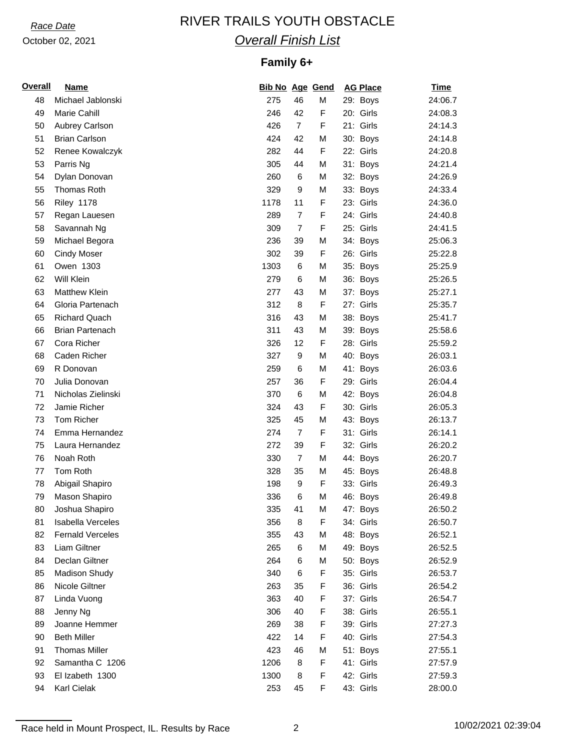# *Race Date* RIVER TRAILS YOUTH OBSTACLE *Overall Finish List*

## **Family 6+**

| <b>Overall</b> | <b>Name</b>              | <b>Bib No Age Gend</b> |                |   | <b>AG Place</b> | <u>Time</u> |
|----------------|--------------------------|------------------------|----------------|---|-----------------|-------------|
| 48             | Michael Jablonski        | 275                    | 46             | M | 29: Boys        | 24:06.7     |
| 49             | Marie Cahill             | 246                    | 42             | F | 20: Girls       | 24:08.3     |
| 50             | Aubrey Carlson           | 426                    | $\overline{7}$ | F | 21: Girls       | 24:14.3     |
| 51             | <b>Brian Carlson</b>     | 424                    | 42             | M | 30: Boys        | 24:14.8     |
| 52             | Renee Kowalczyk          | 282                    | 44             | F | 22: Girls       | 24:20.8     |
| 53             | Parris Ng                | 305                    | 44             | M | 31: Boys        | 24:21.4     |
| 54             | Dylan Donovan            | 260                    | 6              | M | 32: Boys        | 24:26.9     |
| 55             | Thomas Roth              | 329                    | 9              | M | 33: Boys        | 24:33.4     |
| 56             | <b>Riley 1178</b>        | 1178                   | 11             | F | 23: Girls       | 24:36.0     |
| 57             | Regan Lauesen            | 289                    | $\overline{7}$ | F | 24: Girls       | 24:40.8     |
| 58             | Savannah Ng              | 309                    | $\overline{7}$ | F | 25: Girls       | 24:41.5     |
| 59             | Michael Begora           | 236                    | 39             | M | 34: Boys        | 25:06.3     |
| 60             | <b>Cindy Moser</b>       | 302                    | 39             | F | 26: Girls       | 25:22.8     |
| 61             | Owen 1303                | 1303                   | 6              | M | 35: Boys        | 25:25.9     |
| 62             | Will Klein               | 279                    | 6              | M | 36: Boys        | 25:26.5     |
| 63             | <b>Matthew Klein</b>     | 277                    | 43             | M | 37: Boys        | 25:27.1     |
| 64             | Gloria Partenach         | 312                    | 8              | F | 27: Girls       | 25:35.7     |
| 65             | <b>Richard Quach</b>     | 316                    | 43             | М | 38: Boys        | 25:41.7     |
| 66             | <b>Brian Partenach</b>   | 311                    | 43             | M | 39: Boys        | 25:58.6     |
| 67             | Cora Richer              | 326                    | 12             | F | 28: Girls       | 25:59.2     |
| 68             | Caden Richer             | 327                    | 9              | M | 40: Boys        | 26:03.1     |
| 69             | R Donovan                | 259                    | 6              | M | 41: Boys        | 26:03.6     |
| 70             | Julia Donovan            | 257                    | 36             | F | 29: Girls       | 26:04.4     |
| 71             | Nicholas Zielinski       | 370                    | 6              | M | 42: Boys        | 26:04.8     |
| 72             | Jamie Richer             | 324                    | 43             | F | 30: Girls       | 26:05.3     |
| 73             | Tom Richer               | 325                    | 45             | М | 43: Boys        | 26:13.7     |
| 74             | Emma Hernandez           | 274                    | $\overline{7}$ | F | 31: Girls       | 26:14.1     |
| 75             | Laura Hernandez          | 272                    | 39             | F | 32: Girls       | 26:20.2     |
| 76             | Noah Roth                | 330                    | 7              | M | 44: Boys        | 26:20.7     |
| 77             | Tom Roth                 | 328                    | 35             | M | 45: Boys        | 26:48.8     |
| 78             | Abigail Shapiro          | 198                    | 9              | F | 33: Girls       | 26:49.3     |
| 79             | Mason Shapiro            | 336                    | 6              | M | 46: Boys        | 26:49.8     |
| 80             | Joshua Shapiro           | 335                    | 41             | M | 47: Boys        | 26:50.2     |
| 81             | <b>Isabella Verceles</b> | 356                    | 8              | F | 34: Girls       | 26:50.7     |
| 82             | <b>Fernald Verceles</b>  | 355                    | 43             | M | 48: Boys        | 26:52.1     |
| 83             | Liam Giltner             | 265                    | 6              | M | 49: Boys        | 26:52.5     |
| 84             | Declan Giltner           | 264                    | 6              | M | 50: Boys        | 26:52.9     |
| 85             | Madison Shudy            | 340                    | 6              | F | 35: Girls       | 26:53.7     |
| 86             | Nicole Giltner           | 263                    | 35             | F | 36: Girls       | 26:54.2     |
| 87             | Linda Vuong              | 363                    | 40             | F | 37: Girls       | 26:54.7     |
| 88             | Jenny Ng                 | 306                    | 40             | F | 38: Girls       | 26:55.1     |
| 89             | Joanne Hemmer            | 269                    | 38             | F | 39: Girls       | 27:27.3     |
| 90             | <b>Beth Miller</b>       | 422                    | 14             | F | 40: Girls       | 27:54.3     |
| 91             | <b>Thomas Miller</b>     | 423                    | 46             | М | 51: Boys        | 27:55.1     |
| 92             | Samantha C 1206          | 1206                   | 8              | F | 41: Girls       | 27:57.9     |
| 93             | El Izabeth 1300          | 1300                   | 8              | F | 42: Girls       | 27:59.3     |
| 94             | Karl Cielak              | 253                    | 45             | F | 43: Girls       | 28:00.0     |
|                |                          |                        |                |   |                 |             |

Race held in Mount Prospect, IL. Results by Race 2 10/02/2021 02:39:04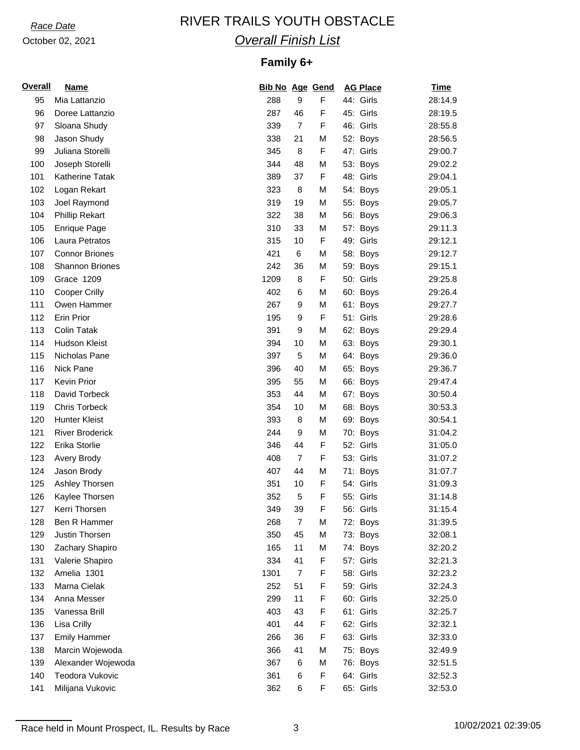# *Race Date* RIVER TRAILS YOUTH OBSTACLE *Overall Finish List*

## **Family 6+**

| <b>Overall</b> | <u>Name</u>            | <b>Bib No Age Gend</b> |                |   | <b>AG Place</b> | <b>Time</b> |
|----------------|------------------------|------------------------|----------------|---|-----------------|-------------|
| 95             | Mia Lattanzio          | 288                    | 9              | F | 44: Girls       | 28:14.9     |
| 96             | Doree Lattanzio        | 287                    | 46             | F | 45: Girls       | 28:19.5     |
| 97             | Sloana Shudy           | 339                    | $\overline{7}$ | F | 46: Girls       | 28:55.8     |
| 98             | Jason Shudy            | 338                    | 21             | M | 52: Boys        | 28:56.5     |
| 99             | Juliana Storelli       | 345                    | 8              | F | 47: Girls       | 29:00.7     |
| 100            | Joseph Storelli        | 344                    | 48             | M | 53: Boys        | 29:02.2     |
| 101            | Katherine Tatak        | 389                    | 37             | F | 48: Girls       | 29:04.1     |
| 102            | Logan Rekart           | 323                    | 8              | M | 54: Boys        | 29:05.1     |
| 103            | Joel Raymond           | 319                    | 19             | M | 55: Boys        | 29:05.7     |
| 104            | <b>Phillip Rekart</b>  | 322                    | 38             | M | 56: Boys        | 29:06.3     |
| 105            | <b>Enrique Page</b>    | 310                    | 33             | M | 57: Boys        | 29:11.3     |
| 106            | Laura Petratos         | 315                    | 10             | F | 49: Girls       | 29:12.1     |
| 107            | <b>Connor Briones</b>  | 421                    | 6              | M | 58: Boys        | 29:12.7     |
| 108            | Shannon Briones        | 242                    | 36             | M | 59: Boys        | 29:15.1     |
| 109            | Grace 1209             | 1209                   | 8              | F | 50: Girls       | 29:25.8     |
| 110            | <b>Cooper Crilly</b>   | 402                    | 6              | M | 60: Boys        | 29:26.4     |
| 111            | Owen Hammer            | 267                    | 9              | M | 61: Boys        | 29:27.7     |
| 112            | Erin Prior             | 195                    | 9              | F | 51: Girls       | 29:28.6     |
| 113            | <b>Colin Tatak</b>     | 391                    | 9              | M | 62: Boys        | 29:29.4     |
| 114            | <b>Hudson Kleist</b>   | 394                    | 10             | M | 63: Boys        | 29:30.1     |
| 115            | Nicholas Pane          | 397                    | 5              | M | 64: Boys        | 29:36.0     |
| 116            | Nick Pane              | 396                    | 40             | M | 65: Boys        | 29:36.7     |
| 117            | Kevin Prior            | 395                    | 55             | M | 66: Boys        | 29:47.4     |
| 118            | David Torbeck          | 353                    | 44             | M | 67: Boys        | 30:50.4     |
| 119            | <b>Chris Torbeck</b>   | 354                    | 10             | M | 68: Boys        | 30:53.3     |
| 120            | <b>Hunter Kleist</b>   | 393                    | 8              | M | 69: Boys        | 30:54.1     |
| 121            | <b>River Broderick</b> | 244                    | 9              | M | 70: Boys        | 31:04.2     |
| 122            | Erika Storlie          | 346                    | 44             | F | 52: Girls       | 31:05.0     |
| 123            | Avery Brody            | 408                    | $\overline{7}$ | F | 53: Girls       | 31:07.2     |
| 124            | Jason Brody            | 407                    | 44             | M | 71: Boys        | 31:07.7     |
| 125            | Ashley Thorsen         | 351                    | 10             | F | 54: Girls       | 31:09.3     |
| 126            | Kaylee Thorsen         | 352                    | 5              | F | 55: Girls       | 31:14.8     |
| 127            | Kerri Thorsen          | 349                    | 39             | F | 56: Girls       | 31:15.4     |
| 128            | Ben R Hammer           | 268                    | 7              | M | 72: Boys        | 31:39.5     |
| 129            | Justin Thorsen         | 350                    | 45             | M | 73: Boys        | 32:08.1     |
| 130            | Zachary Shapiro        | 165                    | 11             | M | 74: Boys        | 32:20.2     |
| 131            | Valerie Shapiro        | 334                    | 41             | F | 57: Girls       | 32:21.3     |
| 132            | Amelia 1301            | 1301                   | $\overline{7}$ | F | 58: Girls       | 32:23.2     |
| 133            | Marna Cielak           | 252                    | 51             | F | 59: Girls       | 32:24.3     |
| 134            | Anna Messer            | 299                    | 11             | F | 60: Girls       | 32:25.0     |
| 135            | Vanessa Brill          | 403                    | 43             | F | 61: Girls       | 32:25.7     |
| 136            | Lisa Crilly            | 401                    | 44             | F | 62: Girls       | 32:32.1     |
| 137            | <b>Emily Hammer</b>    | 266                    | 36             | F | 63: Girls       | 32:33.0     |
| 138            | Marcin Wojewoda        | 366                    | 41             | M | 75: Boys        | 32:49.9     |
| 139            | Alexander Wojewoda     | 367                    | 6              | M | 76: Boys        | 32:51.5     |
| 140            | Teodora Vukovic        | 361                    | 6              | F | 64: Girls       | 32:52.3     |
| 141            | Milijana Vukovic       | 362                    | 6              | F | 65: Girls       | 32:53.0     |

Race held in Mount Prospect, IL. Results by Race 3 10/02/2021 02:39:05